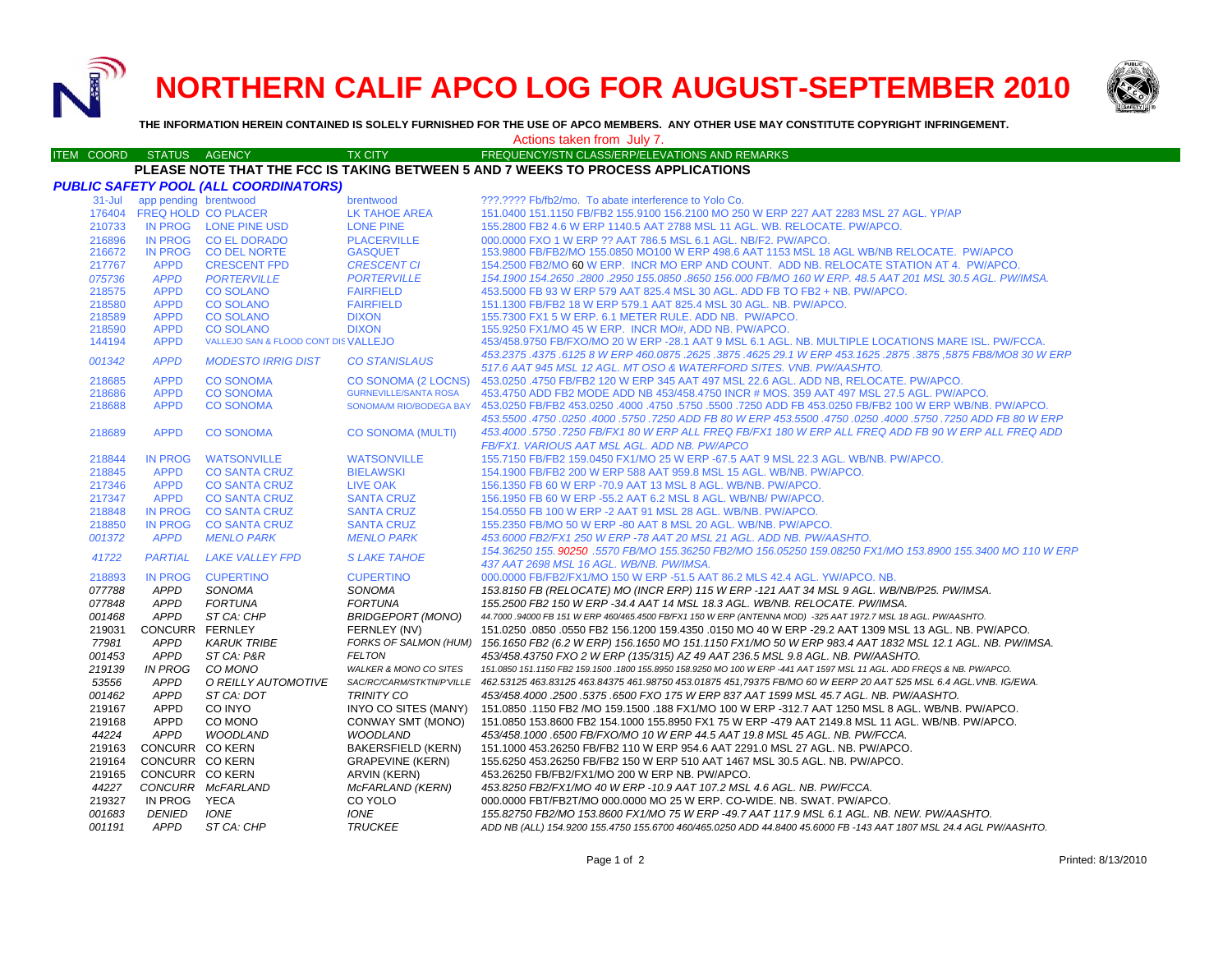**NORTHERN CALIF APCO LOG FOR AUGUST-SEPTEMBER 2010**



**THE INFORMATION HEREIN CONTAINED IS SOLELY FURNISHED FOR THE USE OF APCO MEMBERS. ANY OTHER USE MAY CONSTITUTE COPYRIGHT INFRINGEMENT.**

### Actions taken from July 7.

#### ITEM COORD STATUS AGENCY TX CITY TIREQUENCY/STN CLASS/ERP/ELEVATIONS AND REMARKS **PLEASE NOTE THAT THE FCC IS TAKING BETWEEN 5 AND 7 WEEKS TO PROCESS APPLICATIONS**

|            |                            | PUBLIC SAFETY POOL (ALL COORDINATORS) |                                   |                                                                                                                                                                                       |
|------------|----------------------------|---------------------------------------|-----------------------------------|---------------------------------------------------------------------------------------------------------------------------------------------------------------------------------------|
| $31 -$ Jul | app pending brentwood      |                                       | brentwood                         | ???.???? Fb/fb2/mo. To abate interference to Yolo Co.                                                                                                                                 |
|            | 176404 FREQ HOLD CO PLACER |                                       | <b>LK TAHOE AREA</b>              | 151.0400 151.1150 FB/FB2 155.9100 156.2100 MO 250 W ERP 227 AAT 2283 MSL 27 AGL, YP/AP                                                                                                |
| 210733     |                            | IN PROG LONE PINE USD                 | <b>LONE PINE</b>                  | 155,2800 FB2 4.6 W ERP 1140.5 AAT 2788 MSL 11 AGL, WB, RELOCATE, PW/APCO,                                                                                                             |
| 216896     | <b>IN PROG</b>             | <b>CO EL DORADO</b>                   | <b>PLACERVILLE</b>                | 000,0000 FXO 1 W ERP ?? AAT 786.5 MSL 6.1 AGL, NB/F2, PW/APCO.                                                                                                                        |
| 216672     | <b>IN PROG</b>             | <b>CO DEL NORTE</b>                   | <b>GASQUET</b>                    | 153,9800 FB/FB2/MO 155,0850 MO100 W ERP 498.6 AAT 1153 MSL 18 AGL WB/NB RELOCATE. PW/APCO                                                                                             |
| 217767     | <b>APPD</b>                | <b>CRESCENT FPD</b>                   | <b>CRESCENT CI</b>                | 154.2500 FB2/MO 60 W ERP. INCR MO ERP AND COUNT. ADD NB. RELOCATE STATION AT 4. PW/APCO.                                                                                              |
| 075736     | <b>APPD</b>                | <b>PORTERVILLE</b>                    | <b>PORTERVILLE</b>                | 154.1900 154.2650 .2800 .2950 155.0850 .8650 156.000 FB/MO 160 W ERP. 48.5 AAT 201 MSL 30.5 AGL. PW/IMSA.                                                                             |
| 218575     | <b>APPD</b>                | <b>CO SOLANO</b>                      | <b>FAIRFIELD</b>                  | 453,5000 FB 93 W ERP 579 AAT 825.4 MSL 30 AGL, ADD FB TO FB2 + NB, PW/APCO,                                                                                                           |
| 218580     | <b>APPD</b>                | <b>CO SOLANO</b>                      | <b>FAIRFIELD</b>                  | 151.1300 FB/FB2 18 W ERP 579.1 AAT 825.4 MSL 30 AGL. NB. PW/APCO.                                                                                                                     |
| 218589     | <b>APPD</b>                | <b>CO SOLANO</b>                      | <b>DIXON</b>                      | 155.7300 FX1 5 W ERP. 6.1 METER RULE. ADD NB. PW/APCO.                                                                                                                                |
| 218590     | <b>APPD</b>                | <b>CO SOLANO</b>                      | <b>DIXON</b>                      | 155.9250 FX1/MO 45 W ERP. INCR MO#, ADD NB. PW/APCO.                                                                                                                                  |
| 144194     | <b>APPD</b>                | VALLEJO SAN & FLOOD CONT DISVALLEJO   |                                   | 453/458.9750 FB/FXO/MO 20 W ERP -28.1 AAT 9 MSL 6.1 AGL. NB. MULTIPLE LOCATIONS MARE ISL. PW/FCCA.                                                                                    |
| 001342     | <b>APPD</b>                | <b>MODESTO IRRIG DIST</b>             | <b>CO STANISLAUS</b>              | 453.2375 .4375 .6125 8 W ERP 460.0875 .2625 .3875 .4625 29.1 W ERP 453.1625 .2875 .3875 .5875 FB8/MO8 30 W ERP<br>517.6 AAT 945 MSL 12 AGL. MT OSO & WATERFORD SITES. VNB. PW/AASHTO. |
| 218685     | <b>APPD</b>                | <b>CO SONOMA</b>                      | <b>CO SONOMA (2 LOCNS)</b>        | 453.0250 .4750 FB/FB2 120 W ERP 345 AAT 497 MSL 22.6 AGL, ADD NB, RELOCATE, PW/APCO,                                                                                                  |
| 218686     | <b>APPD</b>                | <b>CO SONOMA</b>                      | <b>GURNEVILLE/SANTA ROSA</b>      | 453.4750 ADD FB2 MODE ADD NB 453/458.4750 INCR # MOS. 359 AAT 497 MSL 27.5 AGL. PW/APCO.                                                                                              |
| 218688     | <b>APPD</b>                | <b>CO SONOMA</b>                      | <b>SONOMA/M RIO/BODEGA BAY</b>    | 453.0250 FB/FB2 453.0250 FB/FB2 100 W ERP WB/NB. PW/APCO. 4750 .5750 .5750 .5750 .5750 .5750 ADD FB 453.0250 FB/FB2 100 W ERP WB/NB. PW/APCO.                                         |
|            |                            |                                       |                                   | 453.5500 .4750 .0250 ADD FB 80 W ERP 453.5500 .4750 .0250 .0250 .5750 .5750 .0250 .0250 .0250 .0250 .                                                                                 |
| 218689     | <b>APPD</b>                | <b>CO SONOMA</b>                      | <b>CO SONOMA (MULTI)</b>          | 453.4000 .5750 .7250 FB/FX1 80 W ERP ALL FREQ FB/FX1 180 W ERP ALL FREQ ADD FB 90 W ERP ALL FREQ ADD<br>FB/FX1. VARIOUS AAT MSL AGL. ADD NB. PW/APCO                                  |
| 218844     | <b>IN PROG</b>             | <b>WATSONVILLE</b>                    | <b>WATSONVILLE</b>                | 155.7150 FB/FB2 159.0450 FX1/MO 25 W ERP -67.5 AAT 9 MSL 22.3 AGL. WB/NB. PW/APCO.                                                                                                    |
| 218845     | <b>APPD</b>                | <b>CO SANTA CRUZ</b>                  | <b>BIELAWSKI</b>                  | 154.1900 FB/FB2 200 W ERP 588 AAT 959.8 MSL 15 AGL. WB/NB. PW/APCO.                                                                                                                   |
| 217346     | <b>APPD</b>                | <b>CO SANTA CRUZ</b>                  | LIVE OAK                          | 156.1350 FB 60 W ERP -70.9 AAT 13 MSL 8 AGL, WB/NB, PW/APCO,                                                                                                                          |
| 217347     | <b>APPD</b>                | <b>CO SANTA CRUZ</b>                  | <b>SANTA CRUZ</b>                 | 156.1950 FB 60 W ERP -55.2 AAT 6.2 MSL 8 AGL. WB/NB/ PW/APCO.                                                                                                                         |
| 218848     | <b>IN PROG</b>             | <b>CO SANTA CRUZ</b>                  | <b>SANTA CRUZ</b>                 | 154,0550 FB 100 W ERP -2 AAT 91 MSL 28 AGL, WB/NB, PW/APCO,                                                                                                                           |
| 218850     | <b>IN PROG</b>             | <b>CO SANTA CRUZ</b>                  | <b>SANTA CRUZ</b>                 | 155,2350 FB/MO 50 W ERP -80 AAT 8 MSL 20 AGL, WB/NB, PW/APCO,                                                                                                                         |
| 001372     | <b>APPD</b>                | <b>MENLO PARK</b>                     | <b>MENLO PARK</b>                 | 453.6000 FB2/FX1 250 W ERP -78 AAT 20 MSL 21 AGL. ADD NB. PW/AASHTO.                                                                                                                  |
|            |                            |                                       |                                   | 154.36250 155, 90250 .5570 FB/MO 155.36250 FB2/MO 156.05250 159.08250 FX1/MO 153.8900 155.3400 MO 110 W ERP                                                                           |
| 41722      | <b>PARTIAL</b>             | <b>LAKE VALLEY FPD</b>                | <b>SLAKE TAHOE</b>                | 437 AAT 2698 MSL 16 AGL, WB/NB, PW/IMSA,                                                                                                                                              |
| 218893     | <b>IN PROG</b>             | <b>CUPERTINO</b>                      | <b>CUPERTINO</b>                  | 000.0000 FB/FB2/FX1/MO 150 W ERP -51.5 AAT 86.2 MLS 42.4 AGL. YW/APCO. NB.                                                                                                            |
| 077788     | APPD                       | SONOMA                                | SONOMA                            | 153.8150 FB (RELOCATE) MO (INCR ERP) 115 W ERP -121 AAT 34 MSL 9 AGL. WB/NB/P25. PW/IMSA.                                                                                             |
| 077848     | <b>APPD</b>                | <b>FORTUNA</b>                        | <b>FORTUNA</b>                    | 155.2500 FB2 150 W ERP -34.4 AAT 14 MSL 18.3 AGL. WB/NB. RELOCATE. PW/IMSA.                                                                                                           |
| 001468     | <b>APPD</b>                | ST CA: CHP                            | <b>BRIDGEPORT (MONO)</b>          | 44.7000 .94000 FB 151 W ERP 460/465.4500 FB/FX1 150 W ERP (ANTENNA MOD) -325 AAT 1972.7 MSL 18 AGL. PW/AASHTO.                                                                        |
| 219031     | CONCURR FERNLEY            |                                       | FERNLEY (NV)                      | 151.0250 .0850 .0550 FB2 156.1200 159.4350 .0150 MO 40 W ERP -29.2 AAT 1309 MSL 13 AGL, NB, PW/APCO,                                                                                  |
| 77981      | <b>APPD</b>                | <b>KARUK TRIBE</b>                    |                                   | FORKS OF SALMON (HUM) 156.1650 FB2 (6.2 W ERP) 156.1650 MO 151.1150 FX1/MO 50 W ERP 983.4 AAT 1832 MSL 12.1 AGL. NB. PW/IMSA.                                                         |
| 001453     | <b>APPD</b>                | ST CA: P&R                            | <b>FELTON</b>                     | 453/458.43750 FXO 2 W ERP (135/315) AZ 49 AAT 236.5 MSL 9.8 AGL. NB. PW/AASHTO.                                                                                                       |
| 219139     | <b>IN PROG</b>             | CO MONO                               | <b>WALKER &amp; MONO CO SITES</b> | 151.0850 151.1150 FB2 159.1500 .1800 155.8950 158.9250 MO 100 W ERP -441 AAT 1597 MSL 11 AGL. ADD FREQS & NB. PW/APCO.                                                                |
| 53556      | <b>APPD</b>                | O REILLY AUTOMOTIVE                   |                                   | SAC/RC/CARM/STKTN/P'VILLE 462.53125 463.83125 463.84375 461.98750 453.01875 451,79375 FB/MO 60 W EERP 20 AAT 525 MSL 6.4 AGL.VNB. IG/EWA.                                             |
| 001462     | <b>APPD</b>                | ST CA: DOT                            | <b>TRINITY CO</b>                 | 453/458.4000 .2500 .5375 .6500 FXO 175 W ERP 837 AAT 1599 MSL 45.7 AGL. NB. PW/AASHTO.                                                                                                |
| 219167     | APPD                       | CO INYO                               | INYO CO SITES (MANY)              | 151.0850 .1150 FB2 /MO 159.1500 .188 FX1/MO 100 W ERP -312.7 AAT 1250 MSL 8 AGL. WB/NB. PW/APCO.                                                                                      |
| 219168     | <b>APPD</b>                | CO MONO                               | CONWAY SMT (MONO)                 | 151.0850 153.8600 FB2 154.1000 155.8950 FX1 75 W ERP -479 AAT 2149.8 MSL 11 AGL. WB/NB. PW/APCO.                                                                                      |
| 44224      | <b>APPD</b>                | <b>WOODLAND</b>                       | <b>WOODLAND</b>                   | 453/458.1000.6500 FB/FXO/MO 10 W ERP 44.5 AAT 19.8 MSL 45 AGL. NB. PW/FCCA.                                                                                                           |
| 219163     | CONCURR CO KERN            |                                       | BAKERSFIELD (KERN)                | 151.1000 453.26250 FB/FB2 110 W ERP 954.6 AAT 2291.0 MSL 27 AGL. NB. PW/APCO.                                                                                                         |
| 219164     | CONCURR CO KERN            |                                       | <b>GRAPEVINE (KERN)</b>           | 155.6250 453.26250 FB/FB2 150 W ERP 510 AAT 1467 MSL 30.5 AGL, NB, PW/APCO,                                                                                                           |
| 219165     | CONCURR CO KERN            |                                       | <b>ARVIN (KERN)</b>               | 453.26250 FB/FB2/FX1/MO 200 W ERP NB, PW/APCO,                                                                                                                                        |
| 44227      |                            | CONCURR McFARLAND                     | McFARLAND (KERN)                  | 453.8250 FB2/FX1/MO 40 W ERP -10.9 AAT 107.2 MSL 4.6 AGL. NB. PW/FCCA.                                                                                                                |
| 219327     | IN PROG                    | YECA                                  | CO YOLO                           | 000,0000 FBT/FB2T/MO 000,0000 MO 25 W ERP, CO-WIDE, NB, SWAT, PW/APCO,                                                                                                                |
| 001683     | <b>DENIED</b>              | <b>IONE</b>                           | <b>IONE</b>                       | 155.82750 FB2/MO 153.8600 FX1/MO 75 W ERP -49.7 AAT 117.9 MSL 6.1 AGL. NB. NEW. PW/AASHTO.                                                                                            |
| 001191     | <b>APPD</b>                | ST CA: CHP                            | <b>TRUCKEE</b>                    | ADD NB (ALL) 154.9200 155.4750 155.6700 460/465.0250 ADD 44.8400 45.6000 FB -143 AAT 1807 MSL 24.4 AGL PW/AASHTO.                                                                     |